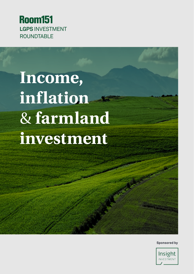

# **Income, inflation** & **farmland investment**

**Sponsored by**

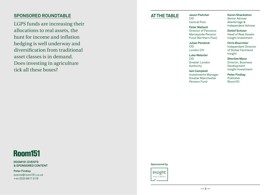### **Sponsored Roundtable**

LGPS funds are increasing their allocations to real assets, the hunt for income and inflation hedging is well underway and diversification from traditional asset classes is in demand. Does investing in agriculture tick all these boxes?

## **At the table Jason Fletcher**

CIO Central Pool

#### **Peter Wallach**

Director of Pensions Merseyside Pension Fund (Northern Pool)

**Julian Pendock** CIO London CIV

**Luke Webster**

CIO Greater London Authority

**Iain Campbell**  Investments Manager Greater Manchester Pension Fund

**Karen Shackleton** Senior Adviser Allenbridge & Independent Adviser

**Detlef Schoen** Head of Real Assets Insight Investment

**Chris Bourchier**  Independent Director of Global Farmland Insight

**Sherilee Mace** Director, Business Development Insight Investment

**Peter Findlay** Publisher Room151.

## **Room151**

**Room151 Events & Sponsored Content**

**Peter Findlay** events@room151.co.uk +44 (0)20 8617 3119

#### **Sponsored by**

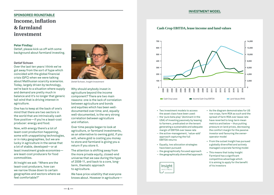#### **Investment model**

## **Sponsored Roundtable Income, inflation & farmland investment**

#### **Peter Findlay:**

Detlef, please kick us off with some background about farmland investing.

#### **Detlef Schoen**

Over the last ten years I think we've got away from the sort of hype which coincided with the global financial crisis (GFC) when we were talking about Malthusian scarcity scenarios. Today, largely driven by technology, we're back to a situation where supply and demand are pretty much in balance and it's no longer that generic tail wind that is driving interest in agriculture.

One has to keep at the back of one's mind that there are two sectors in the world that are intrinsically cash flow positive—if you're a least-cost producer: energy and food.

Now, with energy there's a lot of least-cost production happening, some with unappetising technologies, or in risky geographies, but we are lucky in agriculture in the sense that a lot of stable, developed—or at least investment grade economies are least-cost producers for food commodities.

At Insight we ask: "Where are the least-cost producers, how can we narrow those down to certain geographies and sectors where we feel comfortable?"



*Detlef Schoen, Insight Investment*

Why should anybody invest in agriculture beyond the income component? There are two main reasons: one is the lack of correlation between agriculture and bonds and equities which has been welldocumented over time; and, equally well-documented, is the very strong correlation between agriculture and inflation.

Over time people began to look at agriculture, or farmland investments, as an alternative to owning gold, if you will, where gold is costing you money to store and farmland is giving you a return if you store it.

The attention is shifting away from the more private equity, closed-end universe that we saw during the hype of 2008-11, and back to a core, longterm, thematic approach to agriculture.

We have price volatility that everyone knows about. However in agriculture—

**Cash Crop EBITDA, lease income and land values**



- Two investment models to access the asset class have been used:
- the 'pure beta play' (dominant in the USA) of investing passively by leasing to farmers, predicated on the tenant generating a sustainable and adequate margin of EBITDA over lease rate
- the active-management, 'value-add' approach capturing the full EBITDA returns
- Equally, two allocation strategies have been pursued:
- the geographically focused approach
- the geographically diversified approach



- As the diagram demonstrates for US row crops, farm ROA as such and the spread of farm ROA over lease rate have reverted to long-term mean metrics and below – thus putting pressure on land prices, decreasing the comfort margin for the passive investor and favouring the owneroperator model
- From the outset Insight has pursued a globally diversified and actively managed corporate farming model
- This means that today Insight Farmland has a significant competitive advantage which it is aiming to apply for the benefit of its investors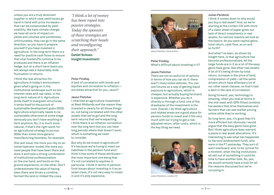unless you are a truly dominant supplier in which case yield losses go hand in hand with price increases that can be compounded by yield volatility. We have climate change, we have all sorts of impact on yields and volumes and sometimes, unfortunately, they can go in the same direction, so you have to prepare yourself if you have invested in agriculture. In the long term there is a need for positive cash flows to ensure that vital foodstuffs continue to be produced and there is an inflation hedge, but on a short-term basis you will always see a reasonably wide fluctuation in returns.

I think the real attraction for agriculture in today's environment given what's going on in the institutional landscape such as low interest rates and cap rates, is the long-term nature of it. Agriculture lends itself to evergreen structures; it lends itself to the pursuit of sustainable development goals (SDG). Agriculture empirically needs to be sustainable otherwise at some stage obviously you don't have anything to farm anymore. So, it is much more natural, if that's the right word, for an agricultural strategy to pursue SDGs than some more generic manufacturing business, for example.

One last issue: the more you rely on an owner/operator model, the more you need people that have been there and done it and have a strong combination of institutional professionalism on the one hand, and boots on the ground experience, on the other. Don't underestimate the value of having been there and driven a combine, farmed the land or milked the cows.

*"I think a lot of money has been roped into passive strategies. Today the sponsors of those strategies are scratching their heads and reconfiguring their approach."* 

**Detlef Schoen Insight Investment**

#### **Peter Findlay**

A lack of correlation with bonds and equities and correlation to inflation are these attractive for you, Jason?

#### **Jason Fletcher**

I inherited an agriculture investment at West Midlands and the reason they invested is clearly for all those things: so, not being correlated with the other assets that we've got and the long term returns that we're expecting. I think there is an inflation correlation over the long term but you can have long periods where that doesn't work, which is something we need to consider.

But why do we invest in agriculture? It's because we're trying to meet our liabilities in the pension fund and I think it has some of those attributes the most important one being that it's not correlated to equities in particular. I think in terms of pension fund issues about investing in it as an asset class, it's not very easy to invest in and it's jolly expensive.



*Jason Fletcher, Central Pool*

#### **Peter Findlay**  What's difficult about investing in it?

#### **Jason Fletcher**

There are not an awful lot of options in terms of how you can do it; there aren't many listed vehicles. You can use futures as a way of getting liquid exposure to agriculture, which is cheaper, but actually buying farmland is expensive. Whether you do it directly or through a fund, one of the drawbacks of the investment is the cost. Overall, I do think agriculture and related areas are a good place for pension funds to invest and it fits very much with our trying to get a riskadjusted return, after costs, which is the key thing we need.



*Julian Pendock, London CIV*

#### **Julian Pendock**

I think it comes down to why would you buy a real asset? And, as we're starting at the London CIV with more of a clean sheet of paper given our lack of direct investments in real assets, for various reasons we look at the basics: do you want capital gains, total return, cash flow, so on and so forth?

And what I've seen, as shown by Insight here, is that agriculture has become professionalised. All the large funds are in it so a lot of the easy gains have gone, like other real assets. A lot of it's being driven by total return, increase in the price of land, compression of yield—all the same drivers which have affected a lot of our other asset classes, so that's had a dent in the lack of correlation.

Going forward, yes, technology is amazing, when you look at farms in the mid-west with GPS-fitted combine harvesters that drive themselves and farmers that can see market pricing online while they're working.

So long term, yes, it's good that it's more efficient but obviously I would argue that the easy gains have gone. But I think agriculture does warrant a place in real asset allocations. It's interesting to see what has happened to Harvard [endowment fund], who were in the FT yesterday. They sort of went overboard, and, to be cynical for a moment, when the big institutions all sell out of something it could be time to have another look. So, yes, we would certainly have a look for all the reasons discussed but we're not piling in.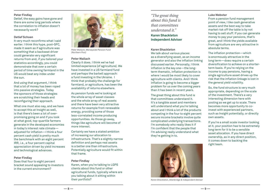#### **Peter Findlay**

Detlef, the easy gains have gone and there are some long periods where the correlation to inflation doesn't necessarily work?

#### **Detlef Schoen**

It very much reconfirms what I said earlier. I think this hype, post-GFC, made it seem as if agriculture was something that a backseat driver could generate very significant returns from and, if you tailored your statistics accordingly, you could demonstrate that over a certain period of time owning farmland in the US would beat any index under the sun.

And using that argument, I think that a lot of money has been roped into passive strategies. Today the sponsors of those strategies are scratching their heads and reconfiguring their approach.

What one must also say, and we have to accept this at Insight as well, is that there's been a lot of overpromising going on and if you look at what good, top-quartile farmers generate in the developed economies in today's interest rate climate adjusted for inflation—I think a four percent cash yield is pretty much the benchmark with an eight percent IRR, i.e., a four percent capital appreciation driven by yield increases and technological advances.

#### **Peter Findlay**

Does that four to eight percent bracket sound appealing to investors in the current environment?



*Peter Wallach, Merseyside Pension Fund (Northern Pool)*

#### **Peter Wallach**

Clearly it does. I think we've had limited experience [of agriculture]. We have invested in a US farmland fund and perhaps the barbell approach: a fund investing in the Ukraine. I think that probably the challenge for farmland, or agriculture, has been the availability of returns elsewhere.

As pension funds we're looking at the whole array of asset classes and the whole array of real assets and there have been very attractive returns for example from renewable energy, providing some of those less-correlated income producing opportunities. As those go away, things like agriculture will become of more interest.

Certainly we have a stated ambition of increasing our allocation to infrastructure. That's a slightly narrow definition and perhaps real assets is a better one than infrastructure. Potentially agriculture would fit within that frame.

#### **Peter Findlay**

Karen, when you're talking to LGPS clients about this fund or other agricultural funds, typically where are you talking about it sitting within their portfolio?

*"The great thing about this fund is that committees understand it."*

**Karen Shackleton Independent Adviser**

#### **Karen Shackleton**

We talk about various places: as a diversifying asset, as an income generator and also the inflation linking discussed earlier. Personally, I think inflation is the key one—the longterm thematic, inflation protection is where I would be most likely to cover agriculture with clients. And I think inflation is going to become a bigger problem for us over the coming years than it has been in recent years.

The great thing about this fund is that committees understand it. It's a tangible asset and members will understand what you're talking about and I think a lot of the products competing in the four to eight percent secure income brackets involve quite complicated underlying transactions. I'm somebody who really likes it if I'm confident that the people that I'm advising really understand what they're getting in to.



*Karen Shackleton, Allenbridge & Independent Adviser*

#### **Luke Webster**

From a pension fund management point of view, I like cash generative assets and the best way to take market risk off the table is by not having to sell stuff. If you can generate money to pay your pensions, that's great, and I think the yields available from agriculture are very attractive in absolute terms.

The inflation protection—which is enormously attractive in the long term—does require a certain diversification to achieve on a shorterterm basis. If you're relying on the income to pay pensions, having a single agriculture asset drives up the risk that the inflation linkage is lost in the general yield volatility.

So, the fund structure is very much appropriate, depending on the scale of the investment. There's a very interesting dimension here with pooling as we get up to scale. There becomes more opportunity to coinvest with experienced partners, such as Insight potentially, or directly own assets.

If you're a small scale investor looking at it, your position has to be extremely long term for it to be a sensible asset allocation. If you have direct ownership, as in any direct position, it comes down to backing the right team.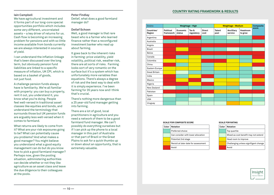#### **Iain Campbell**

We have agricultural investment and it forms part of our long-core special opportunities portfolio which includes some very different, uncorrelated assets – a key driver of returns for us. Cash flow is becoming an increasing problem for pensions and with so little income available from bonds currently we are always interested in sources of yield.

I can understand the inflation linkage that's been discussed over the long term, but obviously pension fund liabilities are linked to a specific measure of inflation, UK CPI, which is based on a basket of goods, not just food.

A challenge pension funds always have is familiarity. We're all familiar with property: you can buy a property, rent it out, you understand it, you know what you're doing. People feel well-versed in traditional asset classes like equities and bonds, and understand the terminology that surrounds those but UK pension funds are arguably less well-versed when it comes to farmland.

What returns are likely to come from it? What are your risk exposures going to be? What can potentially cause you problems? And what makes a good manager? You might believe you understand what a good equity management can do but do you know how to pick a good farmland manager? Perhaps now, given the pooling situation, administering authorities can decide whether or not they like agriculture as an asset class and leave the due diligence to their colleagues at the pools.

**Peter Findlay** Detlef, what does a good farmland manager do?

#### **Detlef Schoen**

Well, a good manager is that rare beast who is a farmer who learned finance rather than a reconfigured investment banker who read up about farming.

It goes back to the inherent risks in farming: price volatility, yield volatility, political risk, weather risk, there are all sorts of risks. Farming looks sort of very romantic on the surface but it's a system which has unfortunately more variables than equations. There's always a degree of risk and the best way to deal with it is simply experience. I've been farming for 35 years now and I think that's crucial.

There's nothing more dangerous than a 25 year-old fund manager getting into farming.

There are a lot of good, local practitioners in agriculture and you need a network of them to be a good farmland fund manager. We can't possibly do everything ourselves but if I can pick up the phone to a local manager in this part of Australia or that part of Brazil or the Great Plains to ask for a quick thumbs up or down about an opportunity, that is extremely valuable.

| $\mathcal{L}^{\text{max}}_{\text{max}}$ and $\mathcal{L}^{\text{max}}_{\text{max}}$ and $\mathcal{L}^{\text{max}}_{\text{max}}$<br>$\mathcal{L}^{\text{max}}_{\text{max}}$ and $\mathcal{L}^{\text{max}}_{\text{max}}$ and $\mathcal{L}^{\text{max}}_{\text{max}}$ and $\mathcal{L}^{\text{max}}_{\text{max}}$ |  |
|----------------------------------------------------------------------------------------------------------------------------------------------------------------------------------------------------------------------------------------------------------------------------------------------------------------|--|
|                                                                                                                                                                                                                                                                                                                |  |
| <b>Service Service</b><br>$\mathcal{L}^{\text{max}}_{\text{max}}$ and $\mathcal{L}^{\text{max}}_{\text{max}}$ and $\mathcal{L}^{\text{max}}_{\text{max}}$ and $\mathcal{L}^{\text{max}}_{\text{max}}$                                                                                                          |  |
|                                                                                                                                                                                                                                                                                                                |  |
|                                                                                                                                                                                                                                                                                                                |  |
|                                                                                                                                                                                                                                                                                                                |  |
|                                                                                                                                                                                                                                                                                                                |  |
|                                                                                                                                                                                                                                                                                                                |  |
|                                                                                                                                                                                                                                                                                                                |  |

**Economic status**

**Tax & regulatory**

**Countries/ Region**

Argentina Australia Angola Brazil Belize Canada Colombia China Eastern Europe Great Britain India Mexico Nigeria New Zealand Pakistan Spain USA **Uruguay** 

**Political framework**

#### **Scale for composite score**

| Color | Notation                             |
|-------|--------------------------------------|
|       | Preferred choice                     |
|       | Can consider with lower allocation   |
|       | Potential 2nd stage                  |
|       | Revisit at later date for assessment |
|       | Avoid                                |

#### **Scale for rating**

| Color | <b>Notation</b>                       |
|-------|---------------------------------------|
|       | Top quartile                          |
|       | Mixed as cost benefit may not extend  |
|       | Head room to improve                  |
|       | Challenging unless signifigant change |
|       | Avoid                                 |



**score**

**Headroom to grow**

#### **Country rating framework & results**

**Grains Weightage - High Weightage - Medium Composite** 

**Direct cost**

**Talent pool**

**Ancilliary service**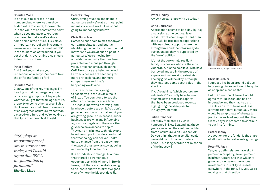#### **Sherilee Mace**

It's difficult to express in hard numbers, but where we can show added value to clients, for example, is in the value of an asset at the point when a good manager takes it on compared to that asset's value at some point in the future. ESG plays an important part of any investment we make, and I would argue that ESG is the foundation of farmland. If you get that right, everything else should follow on from there.

#### **Peter Findlay**

And Sherilee, what are your reflections on what you've heard from the different funds so far?

#### **Sherilee Mace**

Clearly, one of the key messages I'm hearing is that income generation is increasingly important to people, whether you get that from agriculture, property or some other source. I also think investors would like to see more of an evergreen structure rather than a closed-end fund and we're looking at that type of approach at Insight.

*"ESG plays an important part of any investment we make, and I would argue that ESG is the foundation of farmland."* **Sherilee Mace**

#### **Peter Findlay**

Chris, timing must be important in agriculture and we're at a critical point in time vis-a-vis Brexit. How is that going to impact agriculture?

#### **Chris Bourchier**

Someone once said to me that anyone can extrapolate a trend but it's identifying the points of inflection that matter and we are at such a point in agriculture. We're moving from a traditional industry that has been protected and managed through various mechanisms, such as the CAP. Now those are being removed. Farm businesses are becoming far more professional and far more competitive—and that's happening worldwide.

This transformation is going to accelerate in the UK as a result of Brexit. You don't tend to see the effects of change for some time. The locals know who's farming land by whose tractors are on it. You don't get a declaration in the mail—but you are getting gazelle businesses, super businesses growing and influencing agriculture hugely and these are the guys who have access to capital. They can bring in new technology and have the support to understand what that technology can deliver. That's quite a change from the past where the pace of change was slower, being influenced by local factors.

It is an industry in change. I do think that there'll be tremendous opportunities, with winners in Brexit terms, but there are inevitably going to be losers and we think we've got a view of where the biggest risks lie.

#### **Peter Findlay**

A view you can share with us today?

#### **Chris Bourchier**

At present it seems to be a day-by-day discussion at the political level, but if Brexit becomes quite hard then there will be free market operations with less direct support where the strong thrive and the weak really do suffer, unless they're supported by the "new" politics.

It's not the very small, resilient family businesses who are the most vulnerable, it's the next level who have borrowed and are in the process of expansion that are at greatest risk. The big guys will be okay, although they may lose some asset value in the short term.

If you're asking, "which sectors are vulnerable?" you only have to look at some of the research reports that have been produced recently highlighting the sheep sector is hugely vulnerable.

#### **Julian Pendock**

I'm really fascinated by what happened in New Zealand, all those years ago, when they got unshackled from a structure, a bit like the CAP. Do you think that on a smaller scale we might be in for an ultimately painful, but long overdue optimisation of the industry?



*Sherilee Mace, Insight Investment*

#### **Chris Bourchier**

I suppose I've been around politics long enough to know it won't be quite as crisp and clean as that.

But the direction of travel I would agree with. New Zealand had an imperative and they had to do it. The UK can afford to make it less extreme than that, but equally there would be a rapid rate of change to justify the sorts of support that the UK tax payer is prepared to continue to put into farming.

#### **Peter Findlay**

A question for the funds. Is the share of allocations to real assets growing?

#### **Peter Wallach**

Yes, very definitely. We have eight percent in property, seven percent in infrastructure and that will only grow, and we have some modest investments in real-type-assets, elsewhere in the fund. So, yes, we're moving in that direction.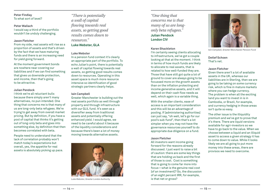#### **Peter Findlay** To what sort of level?

#### **Peter Wallach**

I would say a third of the portfolio wouldn't be unduly challenging.

#### **Jason Fletcher**

From my side, real assets will rise as a proportion of assets and that's driven by the fact that we have maturing funds and there is an increasing need for yield going forward.

At the moment government bonds are nowhere near covering our liabilities and if we can find something that gives us downside protection, and income, then that's going to be attractive.

#### **Julian Pendock**

I think we're all reluctant bulls because there simply aren't many alternatives, no pun intended. One thing that concerns me is that many of us are long-only beta refugees. We're trying to get away from overall market pricing. But by definition, if you have a pool of capital that thinks it's getting out of long-only beta and goes into something else, by definition that then becomes correlated with beta.

People need to understand that the lack of correlation probably won't match today's expectations but overall, yes, the appetite for real assets is absolutely picking up pace.

*"There is potentially a wall of capital flowing towards real assets, so getting good results comes down to resources."*

#### **Luke Webster, GLA**

#### **Luke Webster**

In a pension fund context it's clearly an appropriate part of the portfolio. To echo Julian's point, there is potentially a wall of capital flowing towards real assets, so getting good results comes down to resources. Operating in this asset space is much more resource intensive so identification of good strategic partners clearly helps.

#### **Iain Campbell**

Greater Manchester is building out the real assets portfolio as well through property and through infrastructure with our GLIL fund. It's seen as a diversifier away from traditional assets and potentially offering enhanced yield. I would agree, we need to be careful about it because of the liquidity considerations and because there's been a lot of money moving towards alternative assets.



*Luke Webster, Greater London Authority*

*"One thing that concerns me is that many of us are longonly beta refugees."* **Julian Pendock London CIV**

#### **Karen Shackleton**

I'm certainly seeing clients allocating to infrastructure, we've got a couple looking at that at the moment. I think in terms of how much funds are likely to allocate to real assets, that is related to how well-funded they are. Those that have still got quite a lot of ground to cover are always going to be focussed more on the growth assets than on the inflation protecting and income generative assets, and it will depend on their cash flow needs as well, which again is a variable thing.

With the smaller clients, ease of access is an important consideration and this will be an advantage of pooling. If [administering authorities] can just say, "oh well, let's go for our pool's sub-fund", then that's a lot simpler when you may not have the governance resources yourself to do appropriate due diligence on a fund.

#### **Jason Fletcher**

All investors want income going forward for the reasons already discussed. I just want to raise a bit of caution: there are some key things that are holding us back and the first of those is cost. Cost is something that is going to come far more into focus—what is the genuine real cost [of an investment]? So, the discussion of an eight percent IRR, for example, is that net or gross?



*Iain Campbell, Greater Manchester Pension Fund*

**Detlef Schoen** That's net.

#### **Jason Fletcher**

Given there aren't a lot of available assets in the UK, whereas our liabilities are in Sterling, then we are going to be taking on some currency risk, which is fine in mature markets where you can hedge currency. The problem is when all the exciting land you want to invest in is in Cambodia, or Brazil, for example, and currency hedging in those areas isn't quite so easy.

The other issue is the illiquidity premium and we've got to prove that it's there. There are liquid versions available for agri-investors so we have to go back to the value. When we choose between a liquid and an illiquid asset to access a given strategy it has to come down to value. While it looks likely we are all going to put more money into these areas, there are provisos we need to overcome.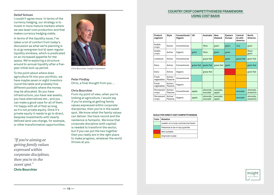#### **Detlef Schoen**

I couldn't agree more. In terms of the currency hedging, our strategy is to invest in more mature markets where we see least-cost production and that makes currency hedging viable.

In terms of the liquidity issue, I've taken a lot of comfort from today's discussion as what we're planning is to a) go evergreen but b) open regular liquidity windows, which is predicated on an increased appetite for the space. We're exploring a structure around bi-annual liquidity after a fiveyear initial lock-up period.

To the point about where does agriculture fit into your portfolio, we have maybe seven or eight investors round the table and probably five different pockets where the money may be allocated. So you have infrastructure, you have real assets, you have alternatives etc., and you can make a good case for all of them. I'm happy with all of that as long as it's not private equity. Once it's private equity it needs to go to direct, bespoke investments with clearly defined land-use change, for example, or other transformation opportunities.

*to make progrem if you're aiming at* the state of throws at you. *getting family values expressed within corporate disciplines, then you're in the sweet spot."*

**Chris Bourchier**



*Chris Bourchier, Insight Investment*

#### **Peter Findlay** Chris, a final thought from you …

#### **Chris Bourchier**

From my point of view, when you're looking at agriculture, I would say if you're aiming at getting family values expressed within corporate disciplines, then you're in the sweet spot. We know what the family values can deliver: the track record and the resilience is fantastic. We know that corporate discipline (with capital) is needed to transform the sector, but if you can put the two together then you really are in the right place to make progress, whatever the world

#### **Country crop competitiveness framework using cost basis**

| Product<br>segment  | Style               | Conventional/<br>Organic | UK        | Australia           | <b>New</b><br>Zealand | Eastern<br>Europe | Central<br>& Latin<br>America | <b>North</b><br>America |
|---------------------|---------------------|--------------------------|-----------|---------------------|-----------------------|-------------------|-------------------------------|-------------------------|
| Arable<br>crops     | Active              | Conventional             |           | fibre               | grain                 | grain             | rics                          | grain                   |
| Arable<br>crops     | Active              | Organic                  | grain     | fibre               | grain                 | grain             |                               | fibre/<br>grain         |
| Livestock           | Active              | Conventional             |           | grass fed           |                       | grain             | grass fed                     | grain fed               |
| Dairy               | Active              | Conventional             | grass fed | grass fed           | grass fed             | grain             |                               | grain fed               |
| Dairy               | Active              | Organic                  |           | grass fed           |                       |                   |                               | grain fed               |
| Fresh<br>vegetables | Active /<br>Passive | Conventional             |           |                     |                       |                   |                               |                         |
| Fresh<br>vegetables | Active /<br>Passive | Organic                  |           |                     |                       |                   |                               |                         |
| Permanent<br>crops  | Active/<br>Passive  | Conventional             | apple     | almonds.<br>avocado | avocado,<br>apple     |                   | avocado                       | almonds,<br>pistachio   |
| Permanent<br>crops  | Active/<br>Passive  | Organic                  | apple     | almonds,<br>avocado | avocado,<br>apple     |                   | avocado                       | almonds,<br>pistachio   |

#### **Scale for direct cost competitiveness**

| Color | Notation                           |
|-------|------------------------------------|
|       | Leader on a truly commercial basis |
|       | Potential to be in top quartile    |
|       | Not suitable                       |
|       | Unproven scale                     |
|       |                                    |